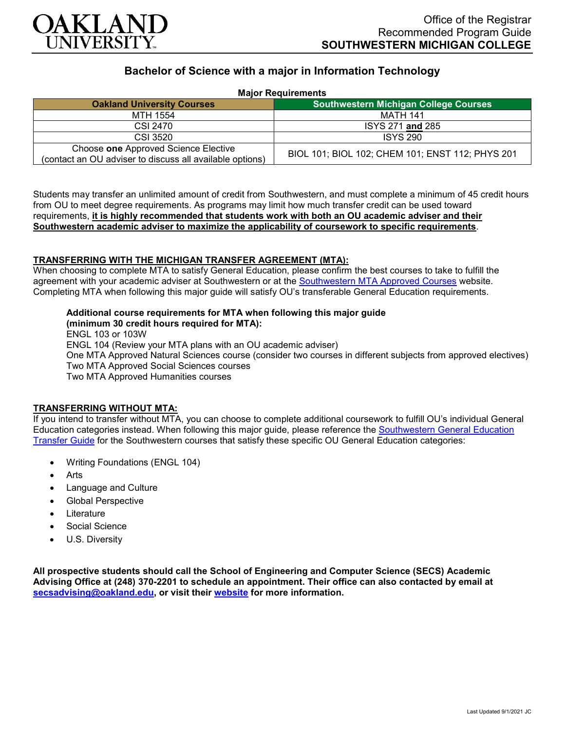

## **Bachelor of Science with a major in Information Technology**

| <b>Major Requirements</b>                                                                        |                                                  |
|--------------------------------------------------------------------------------------------------|--------------------------------------------------|
| <b>Oakland University Courses</b>                                                                | <b>Southwestern Michigan College Courses</b>     |
| MTH 1554                                                                                         | MATH 141                                         |
| CSI 2470                                                                                         | ISYS 271 and 285                                 |
| CSI 3520                                                                                         | <b>ISYS 290</b>                                  |
| Choose one Approved Science Elective<br>(contact an OU adviser to discuss all available options) | BIOL 101; BIOL 102; CHEM 101; ENST 112; PHYS 201 |

Students may transfer an unlimited amount of credit from Southwestern, and must complete a minimum of 45 credit hours from OU to meet degree requirements. As programs may limit how much transfer credit can be used toward requirements, **it is highly recommended that students work with both an OU academic adviser and their Southwestern academic adviser to maximize the applicability of coursework to specific requirements**.

## **TRANSFERRING WITH THE MICHIGAN TRANSFER AGREEMENT (MTA):**

When choosing to complete MTA to satisfy General Education, please confirm the best courses to take to fulfill the agreement with your academic adviser at Southwestern or at the [Southwestern MTA Approved Courses](https://www.swmich.edu/media/website/content-assets/documents/mta-ADA.pdf) website. Completing MTA when following this major guide will satisfy OU's transferable General Education requirements.

# **Additional course requirements for MTA when following this major guide**

**(minimum 30 credit hours required for MTA):** ENGL 103 or 103W ENGL 104 (Review your MTA plans with an OU academic adviser) One MTA Approved Natural Sciences course (consider two courses in different subjects from approved electives) Two MTA Approved Social Sciences courses

Two MTA Approved Humanities courses

#### **TRANSFERRING WITHOUT MTA:**

If you intend to transfer without MTA, you can choose to complete additional coursework to fulfill OU's individual General Education categories instead. When following this major guide, please reference the [Southwestern General Education](https://www.oakland.edu/Assets/Oakland/program-guides/southwestern-michigan-college/university-general-education-requirements/Southwestern%20Gen%20Ed.pdf)  [Transfer Guide](https://www.oakland.edu/Assets/Oakland/program-guides/southwestern-michigan-college/university-general-education-requirements/Southwestern%20Gen%20Ed.pdf) for the Southwestern courses that satisfy these specific OU General Education categories:

- Writing Foundations (ENGL 104)
- Arts
- Language and Culture
- Global Perspective
- **Literature**
- Social Science
- U.S. Diversity

**All prospective students should call the School of Engineering and Computer Science (SECS) Academic Advising Office at (248) 370-2201 to schedule an appointment. Their office can also contacted by email at [secsadvising@oakland.edu,](mailto:secsadvising@oakland.edu) or visit their [website](https://wwwp.oakland.edu/secs/advising/) for more information.**